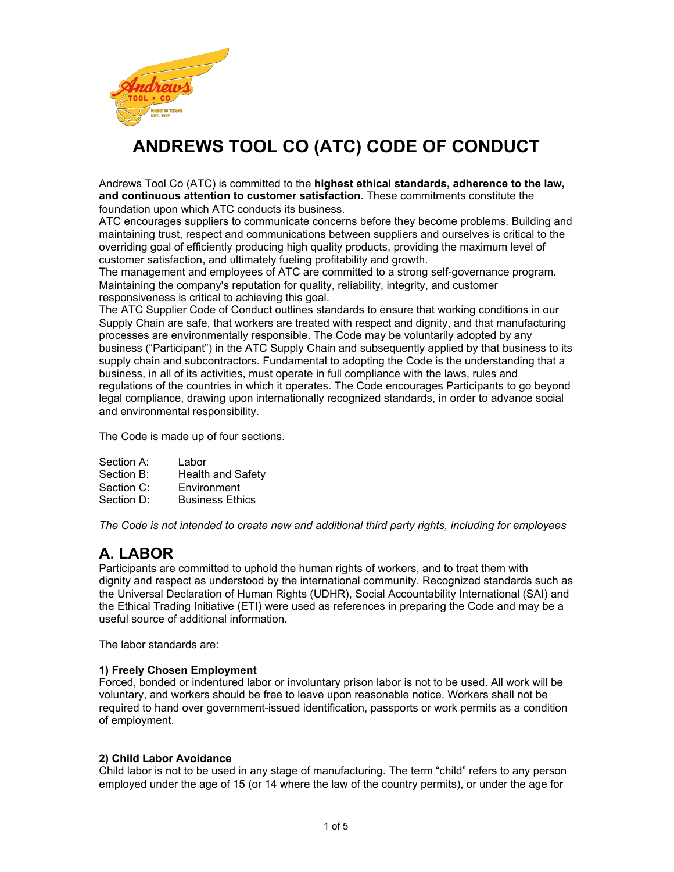

# **ANDREWS TOOL CO (ATC) CODE OF CONDUCT**

Andrews Tool Co (ATC) is committed to the **highest ethical standards, adherence to the law, and continuous attention to customer satisfaction**. These commitments constitute the foundation upon which ATC conducts its business.

ATC encourages suppliers to communicate concerns before they become problems. Building and maintaining trust, respect and communications between suppliers and ourselves is critical to the overriding goal of efficiently producing high quality products, providing the maximum level of customer satisfaction, and ultimately fueling profitability and growth.

The management and employees of ATC are committed to a strong self-governance program. Maintaining the company's reputation for quality, reliability, integrity, and customer responsiveness is critical to achieving this goal.

The ATC Supplier Code of Conduct outlines standards to ensure that working conditions in our Supply Chain are safe, that workers are treated with respect and dignity, and that manufacturing processes are environmentally responsible. The Code may be voluntarily adopted by any business ("Participant") in the ATC Supply Chain and subsequently applied by that business to its supply chain and subcontractors. Fundamental to adopting the Code is the understanding that a business, in all of its activities, must operate in full compliance with the laws, rules and regulations of the countries in which it operates. The Code encourages Participants to go beyond legal compliance, drawing upon internationally recognized standards, in order to advance social and environmental responsibility.

The Code is made up of four sections.

- Section A: Labor Section B: Health and Safety
- Section C: Environment
- Section D: Business Ethics

*The Code is not intended to create new and additional third party rights, including for employees*

# **A. LABOR**

Participants are committed to uphold the human rights of workers, and to treat them with dignity and respect as understood by the international community. Recognized standards such as the Universal Declaration of Human Rights (UDHR), Social Accountability International (SAI) and the Ethical Trading Initiative (ETI) were used as references in preparing the Code and may be a useful source of additional information.

The labor standards are:

# **1) Freely Chosen Employment**

Forced, bonded or indentured labor or involuntary prison labor is not to be used. All work will be voluntary, and workers should be free to leave upon reasonable notice. Workers shall not be required to hand over government-issued identification, passports or work permits as a condition of employment.

# **2) Child Labor Avoidance**

Child labor is not to be used in any stage of manufacturing. The term "child" refers to any person employed under the age of 15 (or 14 where the law of the country permits), or under the age for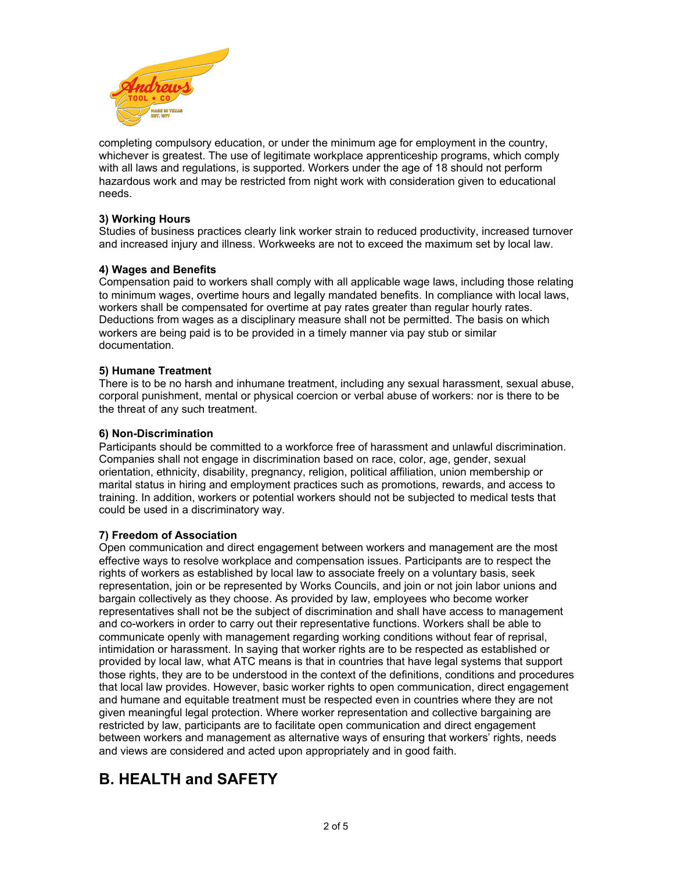

completing compulsory education, or under the minimum age for employment in the country, whichever is greatest. The use of legitimate workplace apprenticeship programs, which comply with all laws and regulations, is supported. Workers under the age of 18 should not perform hazardous work and may be restricted from night work with consideration given to educational needs.

# **3) Working Hours**

Studies of business practices clearly link worker strain to reduced productivity, increased turnover and increased injury and illness. Workweeks are not to exceed the maximum set by local law.

# **4) Wages and Benefits**

Compensation paid to workers shall comply with all applicable wage laws, including those relating to minimum wages, overtime hours and legally mandated benefits. In compliance with local laws, workers shall be compensated for overtime at pay rates greater than regular hourly rates. Deductions from wages as a disciplinary measure shall not be permitted. The basis on which workers are being paid is to be provided in a timely manner via pay stub or similar documentation.

# **5) Humane Treatment**

There is to be no harsh and inhumane treatment, including any sexual harassment, sexual abuse, corporal punishment, mental or physical coercion or verbal abuse of workers: nor is there to be the threat of any such treatment.

#### **6) Non-Discrimination**

Participants should be committed to a workforce free of harassment and unlawful discrimination. Companies shall not engage in discrimination based on race, color, age, gender, sexual orientation, ethnicity, disability, pregnancy, religion, political affiliation, union membership or marital status in hiring and employment practices such as promotions, rewards, and access to training. In addition, workers or potential workers should not be subjected to medical tests that could be used in a discriminatory way.

#### **7) Freedom of Association**

Open communication and direct engagement between workers and management are the most effective ways to resolve workplace and compensation issues. Participants are to respect the rights of workers as established by local law to associate freely on a voluntary basis, seek representation, join or be represented by Works Councils, and join or not join labor unions and bargain collectively as they choose. As provided by law, employees who become worker representatives shall not be the subject of discrimination and shall have access to management and co-workers in order to carry out their representative functions. Workers shall be able to communicate openly with management regarding working conditions without fear of reprisal, intimidation or harassment. In saying that worker rights are to be respected as established or provided by local law, what ATC means is that in countries that have legal systems that support those rights, they are to be understood in the context of the definitions, conditions and procedures that local law provides. However, basic worker rights to open communication, direct engagement and humane and equitable treatment must be respected even in countries where they are not given meaningful legal protection. Where worker representation and collective bargaining are restricted by law, participants are to facilitate open communication and direct engagement between workers and management as alternative ways of ensuring that workers' rights, needs and views are considered and acted upon appropriately and in good faith.

# **B. HEALTH and SAFETY**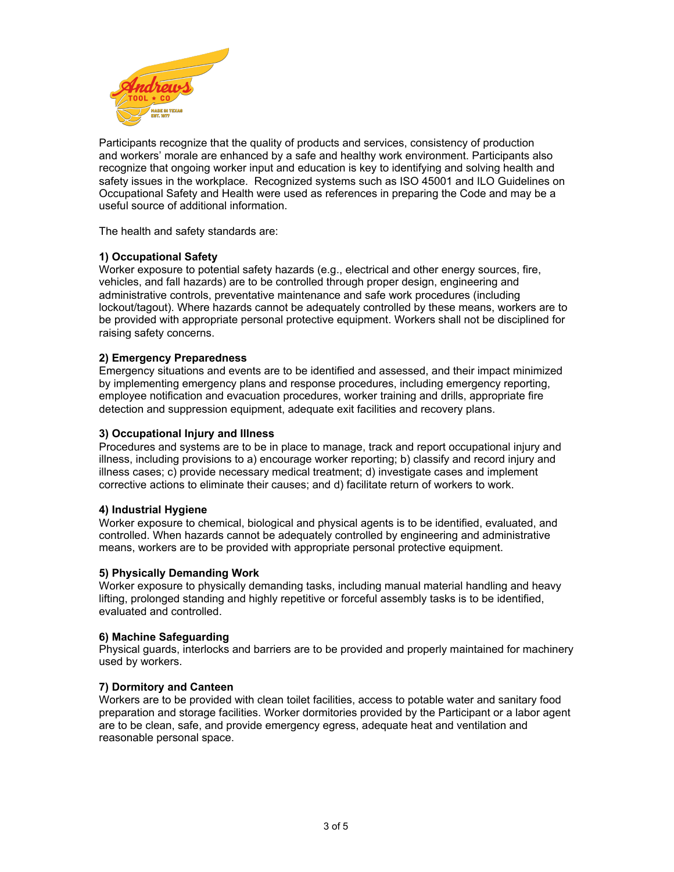

Participants recognize that the quality of products and services, consistency of production and workers' morale are enhanced by a safe and healthy work environment. Participants also recognize that ongoing worker input and education is key to identifying and solving health and safety issues in the workplace. Recognized systems such as ISO 45001 and ILO Guidelines on Occupational Safety and Health were used as references in preparing the Code and may be a useful source of additional information.

The health and safety standards are:

# **1) Occupational Safety**

Worker exposure to potential safety hazards (e.g., electrical and other energy sources, fire, vehicles, and fall hazards) are to be controlled through proper design, engineering and administrative controls, preventative maintenance and safe work procedures (including lockout/tagout). Where hazards cannot be adequately controlled by these means, workers are to be provided with appropriate personal protective equipment. Workers shall not be disciplined for raising safety concerns.

# **2) Emergency Preparedness**

Emergency situations and events are to be identified and assessed, and their impact minimized by implementing emergency plans and response procedures, including emergency reporting, employee notification and evacuation procedures, worker training and drills, appropriate fire detection and suppression equipment, adequate exit facilities and recovery plans.

#### **3) Occupational Injury and Illness**

Procedures and systems are to be in place to manage, track and report occupational injury and illness, including provisions to a) encourage worker reporting; b) classify and record injury and illness cases; c) provide necessary medical treatment; d) investigate cases and implement corrective actions to eliminate their causes; and d) facilitate return of workers to work.

# **4) Industrial Hygiene**

Worker exposure to chemical, biological and physical agents is to be identified, evaluated, and controlled. When hazards cannot be adequately controlled by engineering and administrative means, workers are to be provided with appropriate personal protective equipment.

#### **5) Physically Demanding Work**

Worker exposure to physically demanding tasks, including manual material handling and heavy lifting, prolonged standing and highly repetitive or forceful assembly tasks is to be identified, evaluated and controlled.

#### **6) Machine Safeguarding**

Physical guards, interlocks and barriers are to be provided and properly maintained for machinery used by workers.

#### **7) Dormitory and Canteen**

Workers are to be provided with clean toilet facilities, access to potable water and sanitary food preparation and storage facilities. Worker dormitories provided by the Participant or a labor agent are to be clean, safe, and provide emergency egress, adequate heat and ventilation and reasonable personal space.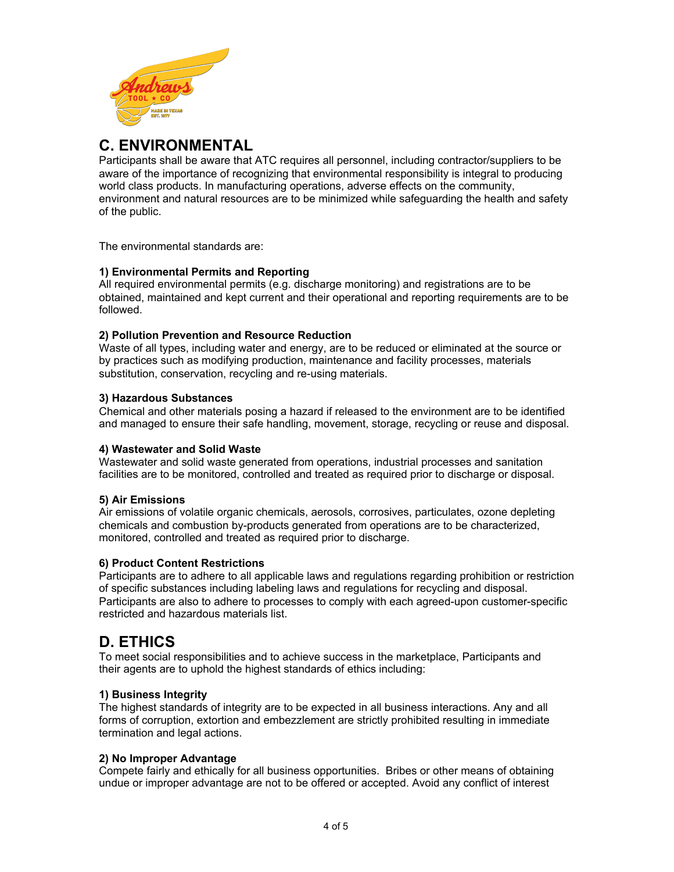

# **C. ENVIRONMENTAL**

Participants shall be aware that ATC requires all personnel, including contractor/suppliers to be aware of the importance of recognizing that environmental responsibility is integral to producing world class products. In manufacturing operations, adverse effects on the community, environment and natural resources are to be minimized while safeguarding the health and safety of the public.

The environmental standards are:

# **1) Environmental Permits and Reporting**

All required environmental permits (e.g. discharge monitoring) and registrations are to be obtained, maintained and kept current and their operational and reporting requirements are to be followed.

# **2) Pollution Prevention and Resource Reduction**

Waste of all types, including water and energy, are to be reduced or eliminated at the source or by practices such as modifying production, maintenance and facility processes, materials substitution, conservation, recycling and re-using materials.

# **3) Hazardous Substances**

Chemical and other materials posing a hazard if released to the environment are to be identified and managed to ensure their safe handling, movement, storage, recycling or reuse and disposal.

# **4) Wastewater and Solid Waste**

Wastewater and solid waste generated from operations, industrial processes and sanitation facilities are to be monitored, controlled and treated as required prior to discharge or disposal.

#### **5) Air Emissions**

Air emissions of volatile organic chemicals, aerosols, corrosives, particulates, ozone depleting chemicals and combustion by-products generated from operations are to be characterized, monitored, controlled and treated as required prior to discharge.

#### **6) Product Content Restrictions**

Participants are to adhere to all applicable laws and regulations regarding prohibition or restriction of specific substances including labeling laws and regulations for recycling and disposal. Participants are also to adhere to processes to comply with each agreed-upon customer-specific restricted and hazardous materials list.

# **D. ETHICS**

To meet social responsibilities and to achieve success in the marketplace, Participants and their agents are to uphold the highest standards of ethics including:

# **1) Business Integrity**

The highest standards of integrity are to be expected in all business interactions. Any and all forms of corruption, extortion and embezzlement are strictly prohibited resulting in immediate termination and legal actions.

# **2) No Improper Advantage**

Compete fairly and ethically for all business opportunities. Bribes or other means of obtaining undue or improper advantage are not to be offered or accepted. Avoid any conflict of interest